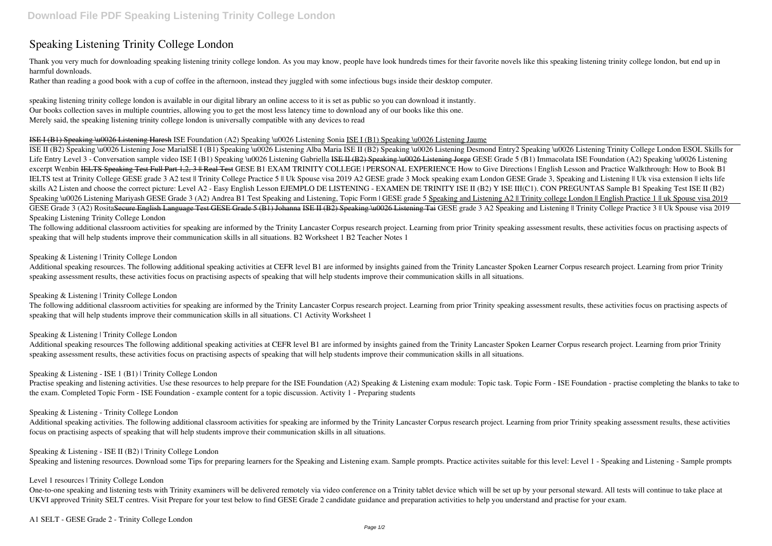# **Speaking Listening Trinity College London**

Thank you very much for downloading speaking listening trinity college london. As you may know, people have look hundreds times for their favorite novels like this speaking listening trinity college london, but end up in harmful downloads.

Rather than reading a good book with a cup of coffee in the afternoon, instead they juggled with some infectious bugs inside their desktop computer.

speaking listening trinity college london is available in our digital library an online access to it is set as public so you can download it instantly. Our books collection saves in multiple countries, allowing you to get the most less latency time to download any of our books like this one. Merely said, the speaking listening trinity college london is universally compatible with any devices to read

#### ISE I (B1) Speaking \u0026 Listening Haresh *ISE Foundation (A2) Speaking \u0026 Listening Sonia* ISE I (B1) Speaking \u0026 Listening Jaume

ISE II (B2) Speaking \u0026 Listening Jose MariaISE I (B1) Speaking \u0026 Listening Alba Maria ISE II (B2) Speaking \u0026 Listening Desmond Entry2 Speaking \u0026 Listening Trinity College London ESOL Skills for Life Entry Level 3 - Conversation sample video ISE I (B1) Speaking \u0026 Listening Gabriella ISE H (B2) Speaking \u0026 Listening Jorge GESE Grade 5 (B1) Immacolata ISE Foundation (A2) Speaking \u0026 Listening *excerpt Wenbin* IELTS Speaking Test Full Part 1,2, 3 || Real Test *GESE B1 EXAM TRINITY COLLEGE | PERSONAL EXPERIENCE How to Give Directions | English Lesson and Practice Walkthrough: How to Book B1* IELTS test at Trinity College GESE grade 3 A2 test || Trinity College Practice 5 || Uk Spouse visa 2019 A2 GESE grade 3 Mock speaking exam London GESE Grade 3, Speaking and Listening || Uk visa extension || ielts life skills A2 Listen and choose the correct picture: Level A2 - Easy English Lesson EJEMPLO DE LISTENING - EXAMEN DE TRINITY ISE II (B2) Y ISE III(C1). CON PREGUNTAS Sample B1 Speaking Test ISE II (B2) Speaking \u0026 Listening Mariyash GESE Grade 3 (A2) Andrea B1 Test Speaking and Listening, Topic Form | GESE grade 5 Speaking and Listening A2 || Trinity college London || English Practice 1 || uk Spouse visa 2019 GESE Grade 3 (A2) Rosita<del>Secure English Language Test GESE Grade 5 (B1) Johanna ISE II (B2) Speaking \u0026 Listening Tai GESE grade 3 A2 Speaking and Listening || Trinity College Practice 3 || Uk Spouse visa 2019</del> Speaking Listening Trinity College London

The following additional classroom activities for speaking are informed by the Trinity Lancaster Corpus research project. Learning from prior Trinity speaking assessment results, these activities focus on practising aspect speaking that will help students improve their communication skills in all situations. B2 Worksheet 1 B2 Teacher Notes 1

Additional speaking resources. The following additional speaking activities at CEFR level B1 are informed by insights gained from the Trinity Lancaster Spoken Learner Corpus research project. Learning from prior Trinity speaking assessment results, these activities focus on practising aspects of speaking that will help students improve their communication skills in all situations.

The following additional classroom activities for speaking are informed by the Trinity Lancaster Corpus research project. Learning from prior Trinity speaking assessment results, these activities focus on practising aspect speaking that will help students improve their communication skills in all situations. C1 Activity Worksheet 1

Additional speaking resources The following additional speaking activities at CEFR level B1 are informed by insights gained from the Trinity Lancaster Spoken Learner Corpus research project. Learning from prior Trinity speaking assessment results, these activities focus on practising aspects of speaking that will help students improve their communication skills in all situations.

Practise speaking and listening activities. Use these resources to help prepare for the ISE Foundation (A2) Speaking & Listening exam module: Topic task. Topic Form - ISE Foundation - practise completing the blanks to take the exam. Completed Topic Form - ISE Foundation - example content for a topic discussion. Activity 1 - Preparing students

Additional speaking activities. The following additional classroom activities for speaking are informed by the Trinity Lancaster Corpus research project. Learning from prior Trinity speaking assessment results, these activ focus on practising aspects of speaking that will help students improve their communication skills in all situations.

### Speaking & Listening | Trinity College London

#### Speaking & Listening | Trinity College London

Speaking & Listening | Trinity College London

#### Speaking & Listening - ISE 1 (B1) | Trinity College London

#### Speaking & Listening - Trinity College London

#### Speaking & Listening - ISE II (B2) | Trinity College London

Speaking and listening resources. Download some Tips for preparing learners for the Speaking and Listening exam. Sample prompts. Practice activites suitable for this level: Level 1 - Speaking and Listening - Sample prompts

#### Level 1 resources | Trinity College London

One-to-one speaking and listening tests with Trinity examiners will be delivered remotely via video conference on a Trinity tablet device which will be set up by your personal steward. All tests will continue to take place UKVI approved Trinity SELT centres. Visit Prepare for your test below to find GESE Grade 2 candidate guidance and preparation activities to help you understand and practise for your exam.